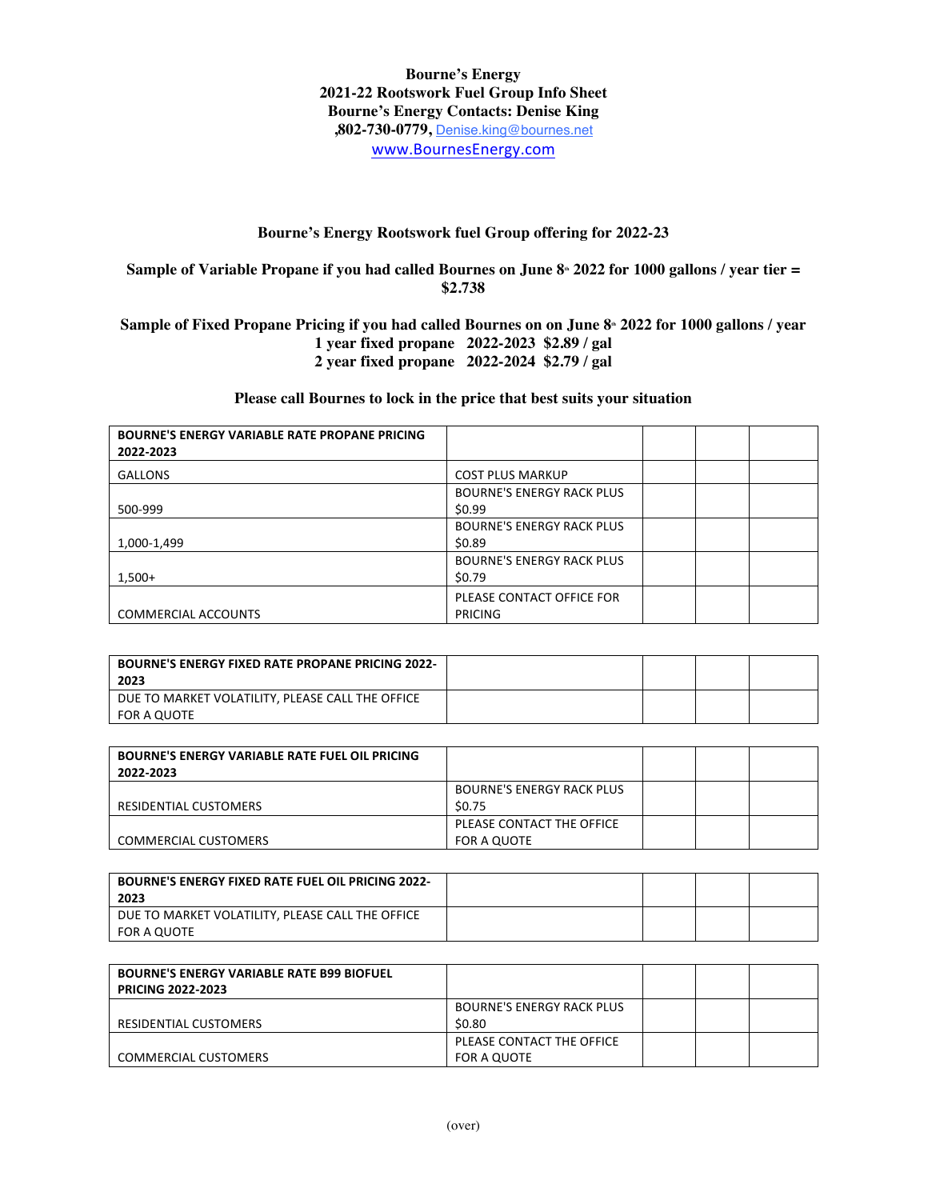**Bourne's Energy 2021-22 Rootswork Fuel Group Info Sheet Bourne's Energy Contacts: Denise King ,802-730-0779,** Denise.king@bournes.net www.BournesEnergy.com

## **Bourne's Energy Rootswork fuel Group offering for 2022-23**

**Sample of Variable Propane if you had called Bournes on June 8<sup>th</sup> 2022 for 1000 gallons / year tier = \$2.738**

Sample of Fixed Propane Pricing if you had called Bournes on on June 8<sup>th</sup> 2022 for 1000 gallons / year **1 year fixed propane 2022-2023 \$2.89 / gal 2 year fixed propane 2022-2024 \$2.79 / gal**

## **Please call Bournes to lock in the price that best suits your situation**

| <b>BOURNE'S ENERGY VARIABLE RATE PROPANE PRICING</b><br>2022-2023 |                                  |  |  |
|-------------------------------------------------------------------|----------------------------------|--|--|
| <b>GALLONS</b>                                                    | <b>COST PLUS MARKUP</b>          |  |  |
|                                                                   | <b>BOURNE'S ENERGY RACK PLUS</b> |  |  |
| 500-999                                                           | \$0.99                           |  |  |
|                                                                   | <b>BOURNE'S ENERGY RACK PLUS</b> |  |  |
| 1,000-1,499                                                       | \$0.89                           |  |  |
|                                                                   | <b>BOURNE'S ENERGY RACK PLUS</b> |  |  |
| $1,500+$                                                          | \$0.79                           |  |  |
|                                                                   | PLEASE CONTACT OFFICE FOR        |  |  |
| <b>COMMERCIAL ACCOUNTS</b>                                        | PRICING                          |  |  |

| <b>BOURNE'S ENERGY FIXED RATE PROPANE PRICING 2022-</b><br>2023 |  |  |
|-----------------------------------------------------------------|--|--|
| DUE TO MARKET VOLATILITY, PLEASE CALL THE OFFICE                |  |  |
| FOR A QUOTE                                                     |  |  |

| <b>BOURNE'S ENERGY VARIABLE RATE FUEL OIL PRICING</b><br>2022-2023 |                                  |  |  |
|--------------------------------------------------------------------|----------------------------------|--|--|
|                                                                    | <b>BOURNE'S ENERGY RACK PLUS</b> |  |  |
| RESIDENTIAL CUSTOMERS                                              | \$0.75                           |  |  |
|                                                                    | PLEASE CONTACT THE OFFICE        |  |  |
| <b>COMMERCIAL CUSTOMERS</b>                                        | FOR A QUOTE                      |  |  |

| <b>BOURNE'S ENERGY FIXED RATE FUEL OIL PRICING 2022-</b><br>2023 |  |  |
|------------------------------------------------------------------|--|--|
| DUE TO MARKET VOLATILITY, PLEASE CALL THE OFFICE                 |  |  |
| FOR A QUOTE                                                      |  |  |

| <b>BOURNE'S ENERGY VARIABLE RATE B99 BIOFUEL</b><br><b>PRICING 2022-2023</b> |                                  |  |  |
|------------------------------------------------------------------------------|----------------------------------|--|--|
|                                                                              | <b>BOURNE'S ENERGY RACK PLUS</b> |  |  |
| RESIDENTIAL CUSTOMERS                                                        | \$0.80                           |  |  |
|                                                                              | PLEASE CONTACT THE OFFICE        |  |  |
| <b>COMMERCIAL CUSTOMERS</b>                                                  | FOR A QUOTE                      |  |  |